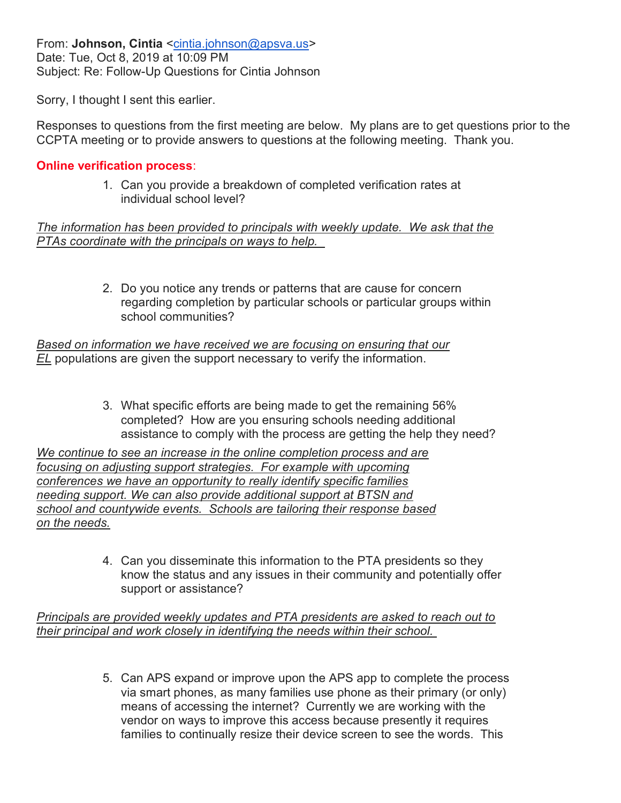From: Johnson, Cintia <cintia.johnson@apsva.us> Date: Tue, Oct 8, 2019 at 10:09 PM Subject: Re: Follow-Up Questions for Cintia Johnson

Sorry, I thought I sent this earlier.

Responses to questions from the first meeting are below. My plans are to get questions prior to the CCPTA meeting or to provide answers to questions at the following meeting. Thank you.

#### Online verification process:

1. Can you provide a breakdown of completed verification rates at individual school level?

The information has been provided to principals with weekly update. We ask that the PTAs coordinate with the principals on ways to help.

> 2. Do you notice any trends or patterns that are cause for concern regarding completion by particular schools or particular groups within school communities?

Based on information we have received we are focusing on ensuring that our EL populations are given the support necessary to verify the information.

> 3. What specific efforts are being made to get the remaining 56% completed? How are you ensuring schools needing additional assistance to comply with the process are getting the help they need?

We continue to see an increase in the online completion process and are focusing on adjusting support strategies. For example with upcoming conferences we have an opportunity to really identify specific families needing support. We can also provide additional support at BTSN and school and countywide events. Schools are tailoring their response based on the needs.

> 4. Can you disseminate this information to the PTA presidents so they know the status and any issues in their community and potentially offer support or assistance?

Principals are provided weekly updates and PTA presidents are asked to reach out to their principal and work closely in identifying the needs within their school.

> 5. Can APS expand or improve upon the APS app to complete the process via smart phones, as many families use phone as their primary (or only) means of accessing the internet? Currently we are working with the vendor on ways to improve this access because presently it requires families to continually resize their device screen to see the words. This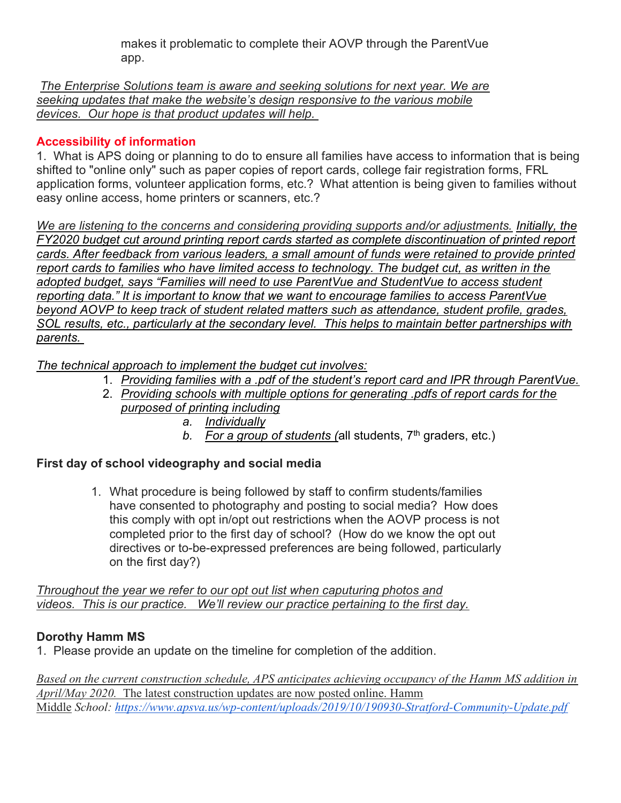makes it problematic to complete their AOVP through the ParentVue app.

The Enterprise Solutions team is aware and seeking solutions for next year. We are seeking updates that make the website's design responsive to the various mobile devices. Our hope is that product updates will help.

# Accessibility of information

1. What is APS doing or planning to do to ensure all families have access to information that is being shifted to "online only" such as paper copies of report cards, college fair registration forms, FRL application forms, volunteer application forms, etc.? What attention is being given to families without easy online access, home printers or scanners, etc.?

We are listening to the concerns and considering providing supports and/or adjustments. Initially, the FY2020 budget cut around printing report cards started as complete discontinuation of printed report cards. After feedback from various leaders, a small amount of funds were retained to provide printed report cards to families who have limited access to technology. The budget cut, as written in the adopted budget, says "Families will need to use ParentVue and StudentVue to access student reporting data." It is important to know that we want to encourage families to access ParentVue beyond AOVP to keep track of student related matters such as attendance, student profile, grades, SOL results, etc., particularly at the secondary level. This helps to maintain better partnerships with parents.

The technical approach to implement the budget cut involves:

- 1. Providing families with a .pdf of the student's report card and IPR through ParentVue.
- 2. Providing schools with multiple options for generating .pdfs of report cards for the purposed of printing including
	- a. Individually
	- b. For a group of students (all students,  $7<sup>th</sup>$  graders, etc.)

# First day of school videography and social media

1. What procedure is being followed by staff to confirm students/families have consented to photography and posting to social media? How does this comply with opt in/opt out restrictions when the AOVP process is not completed prior to the first day of school? (How do we know the opt out directives or to-be-expressed preferences are being followed, particularly on the first day?)

Throughout the year we refer to our opt out list when caputuring photos and videos. This is our practice. We'll review our practice pertaining to the first day.

# Dorothy Hamm MS

1. Please provide an update on the timeline for completion of the addition.

Based on the current construction schedule, APS anticipates achieving occupancy of the Hamm MS addition in April/May 2020. The latest construction updates are now posted online. Hamm Middle School: https://www.apsva.us/wp-content/uploads/2019/10/190930-Stratford-Community-Update.pdf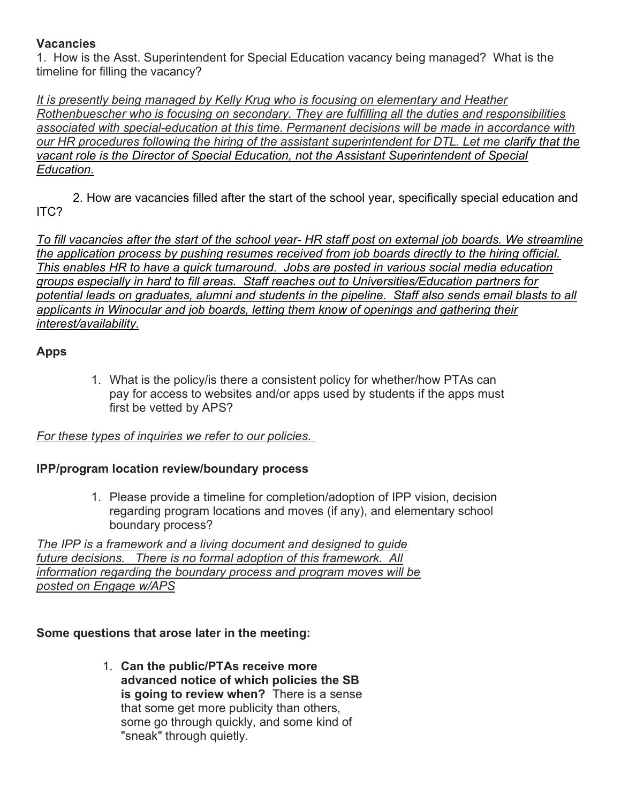### **Vacancies**

1. How is the Asst. Superintendent for Special Education vacancy being managed? What is the timeline for filling the vacancy?

It is presently being managed by Kelly Krug who is focusing on elementary and Heather Rothenbuescher who is focusing on secondary. They are fulfilling all the duties and responsibilities associated with special-education at this time. Permanent decisions will be made in accordance with our HR procedures following the hiring of the assistant superintendent for DTL. Let me clarify that the vacant role is the Director of Special Education, not the Assistant Superintendent of Special Education.

2. How are vacancies filled after the start of the school year, specifically special education and ITC?

To fill vacancies after the start of the school year- HR staff post on external job boards. We streamline the application process by pushing resumes received from job boards directly to the hiring official. This enables HR to have a quick turnaround. Jobs are posted in various social media education groups especially in hard to fill areas. Staff reaches out to Universities/Education partners for potential leads on graduates, alumni and students in the pipeline. Staff also sends email blasts to all applicants in Winocular and job boards, letting them know of openings and gathering their interest/availability.

### Apps

1. What is the policy/is there a consistent policy for whether/how PTAs can pay for access to websites and/or apps used by students if the apps must first be vetted by APS?

### For these types of inquiries we refer to our policies.

### IPP/program location review/boundary process

1. Please provide a timeline for completion/adoption of IPP vision, decision regarding program locations and moves (if any), and elementary school boundary process?

The IPP is a framework and a living document and designed to guide future decisions. There is no formal adoption of this framework. All information regarding the boundary process and program moves will be posted on Engage w/APS

### Some questions that arose later in the meeting:

1. Can the public/PTAs receive more advanced notice of which policies the SB is going to review when? There is a sense that some get more publicity than others, some go through quickly, and some kind of "sneak" through quietly.